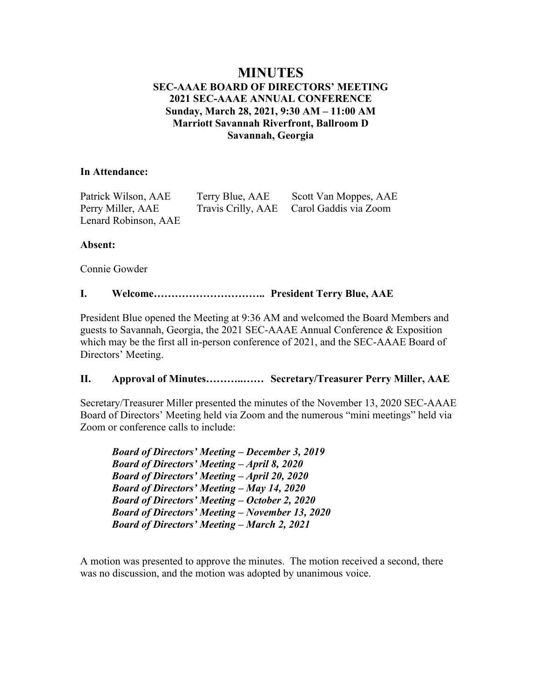# **MINUTES SEC-AAAE BOARD OF DIRECTORS' MEETING 2021 SEC-AAAE ANNUAL CONFERENCE Sunday, March 28, 2021, 9:30 AM – 11:00 AM Marriott Savannah Riverfront, Ballroom D Savannah, Georgia**

## **In Attendance:**

Patrick Wilson, AAE Terry Blue, AAE Scott Van Moppes, AAE Perry Miller, AAE Travis Crilly, AAE Carol Gaddis via Zoom Lenard Robinson, AAE

# **Absent:**

Connie Gowder

# **I. Welcome………………………….. President Terry Blue, AAE**

President Blue opened the Meeting at 9:36 AM and welcomed the Board Members and guests to Savannah, Georgia, the 2021 SEC-AAAE Annual Conference & Exposition which may be the first all in-person conference of 2021, and the SEC-AAAE Board of Directors' Meeting.

# **II. Approval of Minutes………..…… Secretary/Treasurer Perry Miller, AAE**

Secretary/Treasurer Miller presented the minutes of the November 13, 2020 SEC-AAAE Board of Directors' Meeting held via Zoom and the numerous "mini meetings" held via Zoom or conference calls to include:

*Board of Directors' Meeting – December 3, 2019 Board of Directors' Meeting – April 8, 2020 Board of Directors' Meeting – April 20, 2020 Board of Directors' Meeting – May 14, 2020 Board of Directors' Meeting – October 2, 2020 Board of Directors' Meeting – November 13, 2020 Board of Directors' Meeting – March 2, 2021*

A motion was presented to approve the minutes. The motion received a second, there was no discussion, and the motion was adopted by unanimous voice.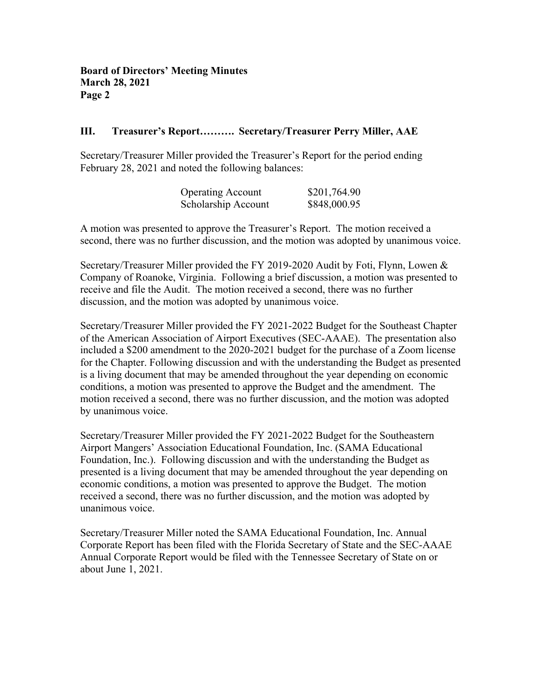## **III. Treasurer's Report………. Secretary/Treasurer Perry Miller, AAE**

Secretary/Treasurer Miller provided the Treasurer's Report for the period ending February 28, 2021 and noted the following balances:

| <b>Operating Account</b> | \$201,764.90 |
|--------------------------|--------------|
| Scholarship Account      | \$848,000.95 |

A motion was presented to approve the Treasurer's Report. The motion received a second, there was no further discussion, and the motion was adopted by unanimous voice.

Secretary/Treasurer Miller provided the FY 2019-2020 Audit by Foti, Flynn, Lowen & Company of Roanoke, Virginia. Following a brief discussion, a motion was presented to receive and file the Audit. The motion received a second, there was no further discussion, and the motion was adopted by unanimous voice.

Secretary/Treasurer Miller provided the FY 2021-2022 Budget for the Southeast Chapter of the American Association of Airport Executives (SEC-AAAE). The presentation also included a \$200 amendment to the 2020-2021 budget for the purchase of a Zoom license for the Chapter. Following discussion and with the understanding the Budget as presented is a living document that may be amended throughout the year depending on economic conditions, a motion was presented to approve the Budget and the amendment. The motion received a second, there was no further discussion, and the motion was adopted by unanimous voice.

Secretary/Treasurer Miller provided the FY 2021-2022 Budget for the Southeastern Airport Mangers' Association Educational Foundation, Inc. (SAMA Educational Foundation, Inc.). Following discussion and with the understanding the Budget as presented is a living document that may be amended throughout the year depending on economic conditions, a motion was presented to approve the Budget. The motion received a second, there was no further discussion, and the motion was adopted by unanimous voice.

Secretary/Treasurer Miller noted the SAMA Educational Foundation, Inc. Annual Corporate Report has been filed with the Florida Secretary of State and the SEC-AAAE Annual Corporate Report would be filed with the Tennessee Secretary of State on or about June 1, 2021.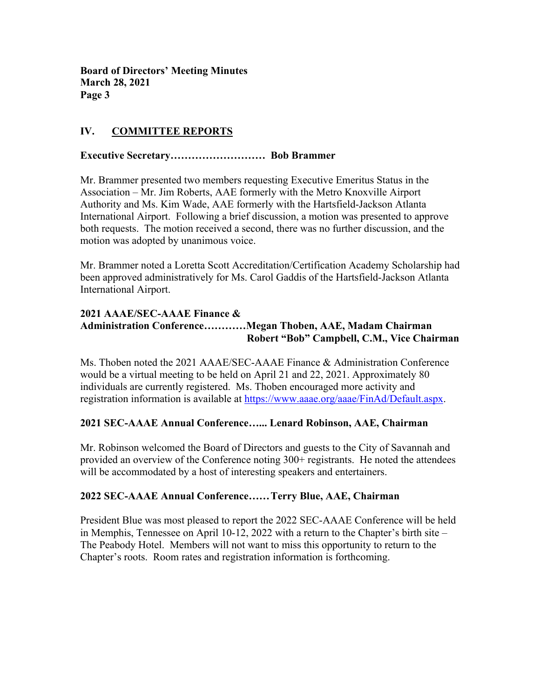# **IV. COMMITTEE REPORTS**

# **Executive Secretary……………………… Bob Brammer**

Mr. Brammer presented two members requesting Executive Emeritus Status in the Association – Mr. Jim Roberts, AAE formerly with the Metro Knoxville Airport Authority and Ms. Kim Wade, AAE formerly with the Hartsfield-Jackson Atlanta International Airport. Following a brief discussion, a motion was presented to approve both requests. The motion received a second, there was no further discussion, and the motion was adopted by unanimous voice.

Mr. Brammer noted a Loretta Scott Accreditation/Certification Academy Scholarship had been approved administratively for Ms. Carol Gaddis of the Hartsfield-Jackson Atlanta International Airport.

# **2021 AAAE/SEC-AAAE Finance & Administration Conference…………Megan Thoben, AAE, Madam Chairman Robert "Bob" Campbell, C.M., Vice Chairman**

Ms. Thoben noted the 2021 AAAE/SEC-AAAE Finance & Administration Conference would be a virtual meeting to be held on April 21 and 22, 2021. Approximately 80 individuals are currently registered. Ms. Thoben encouraged more activity and registration information is available at https://www.aaae.org/aaae/FinAd/Default.aspx.

### **2021 SEC-AAAE Annual Conference…... Lenard Robinson, AAE, Chairman**

Mr. Robinson welcomed the Board of Directors and guests to the City of Savannah and provided an overview of the Conference noting 300+ registrants. He noted the attendees will be accommodated by a host of interesting speakers and entertainers.

### **2022 SEC-AAAE Annual Conference……Terry Blue, AAE, Chairman**

President Blue was most pleased to report the 2022 SEC-AAAE Conference will be held in Memphis, Tennessee on April 10-12, 2022 with a return to the Chapter's birth site – The Peabody Hotel. Members will not want to miss this opportunity to return to the Chapter's roots. Room rates and registration information is forthcoming.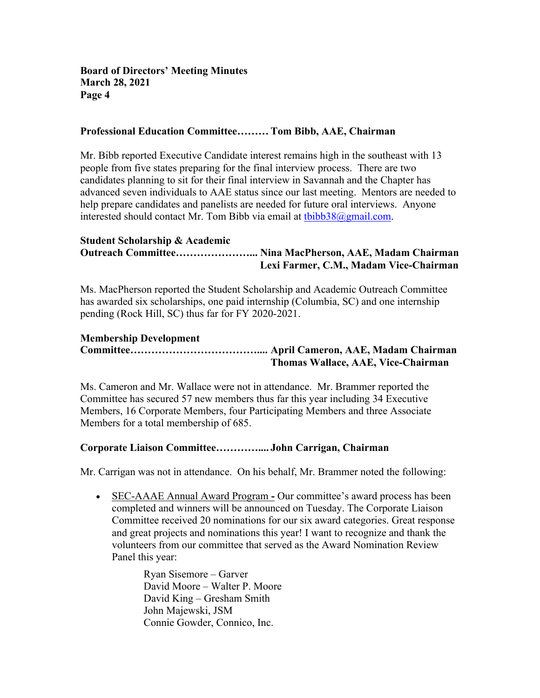## **Professional Education Committee……… Tom Bibb, AAE, Chairman**

Mr. Bibb reported Executive Candidate interest remains high in the southeast with 13 people from five states preparing for the final interview process. There are two candidates planning to sit for their final interview in Savannah and the Chapter has advanced seven individuals to AAE status since our last meeting. Mentors are needed to help prepare candidates and panelists are needed for future oral interviews. Anyone interested should contact Mr. Tom Bibb via email at  $tbibb38@gmail.com$ .

#### **Student Scholarship & Academic Outreach Committee…………………... Nina MacPherson, AAE, Madam Chairman Lexi Farmer, C.M., Madam Vice-Chairman**

Ms. MacPherson reported the Student Scholarship and Academic Outreach Committee has awarded six scholarships, one paid internship (Columbia, SC) and one internship pending (Rock Hill, SC) thus far for FY 2020-2021.

# **Membership Development**

**Committee……………………………….... April Cameron, AAE, Madam Chairman Thomas Wallace, AAE, Vice-Chairman**

Ms. Cameron and Mr. Wallace were not in attendance. Mr. Brammer reported the Committee has secured 57 new members thus far this year including 34 Executive Members, 16 Corporate Members, four Participating Members and three Associate Members for a total membership of 685.

### **Corporate Liaison Committee………….... John Carrigan, Chairman**

Mr. Carrigan was not in attendance. On his behalf, Mr. Brammer noted the following:

• SEC-AAAE Annual Award Program **-** Our committee's award process has been completed and winners will be announced on Tuesday. The Corporate Liaison Committee received 20 nominations for our six award categories. Great response and great projects and nominations this year! I want to recognize and thank the volunteers from our committee that served as the Award Nomination Review Panel this year:

> Ryan Sisemore – Garver David Moore – Walter P. Moore David King – Gresham Smith John Majewski, JSM Connie Gowder, Connico, Inc.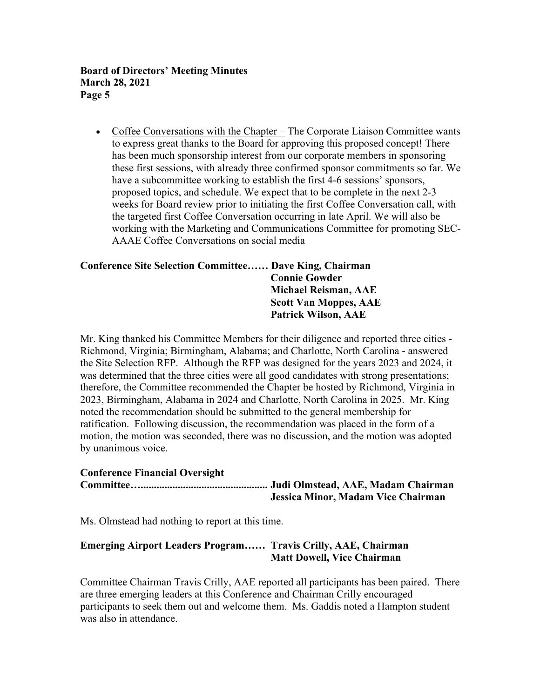• Coffee Conversations with the Chapter – The Corporate Liaison Committee wants to express great thanks to the Board for approving this proposed concept! There has been much sponsorship interest from our corporate members in sponsoring these first sessions, with already three confirmed sponsor commitments so far. We have a subcommittee working to establish the first 4-6 sessions' sponsors, proposed topics, and schedule. We expect that to be complete in the next 2-3 weeks for Board review prior to initiating the first Coffee Conversation call, with the targeted first Coffee Conversation occurring in late April. We will also be working with the Marketing and Communications Committee for promoting SEC-AAAE Coffee Conversations on social media

# **Conference Site Selection Committee…… Dave King, Chairman Connie Gowder Michael Reisman, AAE Scott Van Moppes, AAE Patrick Wilson, AAE**

Mr. King thanked his Committee Members for their diligence and reported three cities - Richmond, Virginia; Birmingham, Alabama; and Charlotte, North Carolina - answered the Site Selection RFP. Although the RFP was designed for the years 2023 and 2024, it was determined that the three cities were all good candidates with strong presentations; therefore, the Committee recommended the Chapter be hosted by Richmond, Virginia in 2023, Birmingham, Alabama in 2024 and Charlotte, North Carolina in 2025. Mr. King noted the recommendation should be submitted to the general membership for ratification. Following discussion, the recommendation was placed in the form of a motion, the motion was seconded, there was no discussion, and the motion was adopted by unanimous voice.

# **Conference Financial Oversight**

**Committee…................................................ Judi Olmstead, AAE, Madam Chairman Jessica Minor, Madam Vice Chairman**

Ms. Olmstead had nothing to report at this time.

# **Emerging Airport Leaders Program…… Travis Crilly, AAE, Chairman Matt Dowell, Vice Chairman**

Committee Chairman Travis Crilly, AAE reported all participants has been paired. There are three emerging leaders at this Conference and Chairman Crilly encouraged participants to seek them out and welcome them. Ms. Gaddis noted a Hampton student was also in attendance.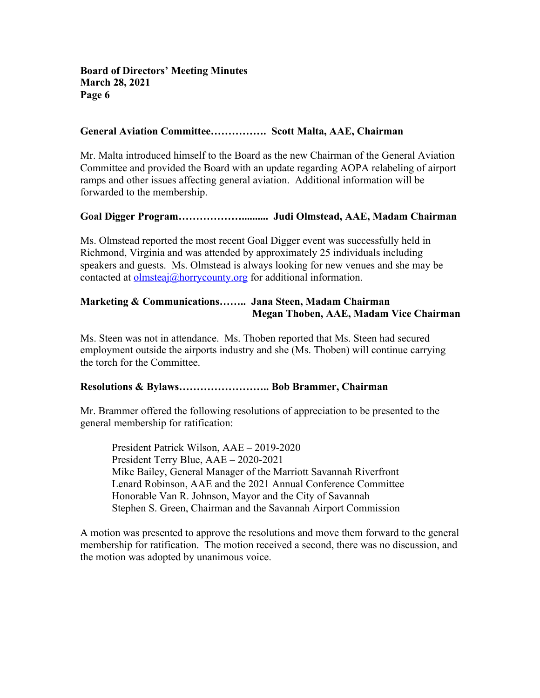### **General Aviation Committee……………. Scott Malta, AAE, Chairman**

Mr. Malta introduced himself to the Board as the new Chairman of the General Aviation Committee and provided the Board with an update regarding AOPA relabeling of airport ramps and other issues affecting general aviation. Additional information will be forwarded to the membership.

#### **Goal Digger Program……………….......... Judi Olmstead, AAE, Madam Chairman**

Ms. Olmstead reported the most recent Goal Digger event was successfully held in Richmond, Virginia and was attended by approximately 25 individuals including speakers and guests. Ms. Olmstead is always looking for new venues and she may be contacted at olmsteaj@horrycounty.org for additional information.

# **Marketing & Communications…….. Jana Steen, Madam Chairman Megan Thoben, AAE, Madam Vice Chairman**

Ms. Steen was not in attendance. Ms. Thoben reported that Ms. Steen had secured employment outside the airports industry and she (Ms. Thoben) will continue carrying the torch for the Committee.

#### **Resolutions & Bylaws…………………….. Bob Brammer, Chairman**

Mr. Brammer offered the following resolutions of appreciation to be presented to the general membership for ratification:

President Patrick Wilson, AAE – 2019-2020 President Terry Blue, AAE – 2020-2021 Mike Bailey, General Manager of the Marriott Savannah Riverfront Lenard Robinson, AAE and the 2021 Annual Conference Committee Honorable Van R. Johnson, Mayor and the City of Savannah Stephen S. Green, Chairman and the Savannah Airport Commission

A motion was presented to approve the resolutions and move them forward to the general membership for ratification. The motion received a second, there was no discussion, and the motion was adopted by unanimous voice.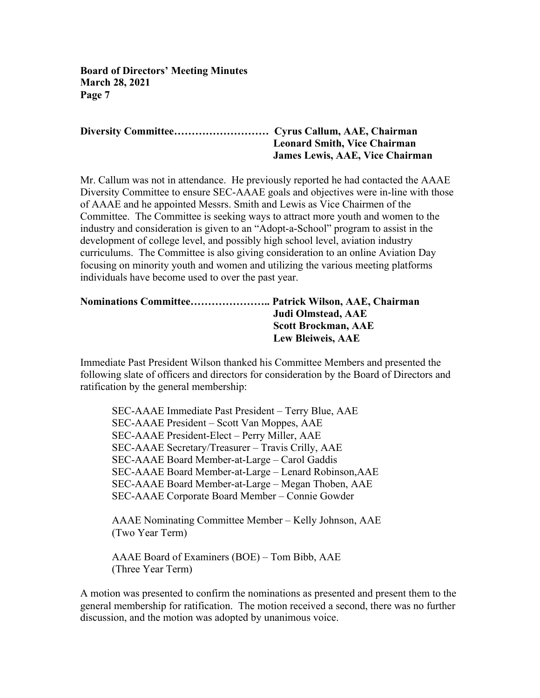## **Diversity Committee……………………… Cyrus Callum, AAE, Chairman Leonard Smith, Vice Chairman James Lewis, AAE, Vice Chairman**

Mr. Callum was not in attendance. He previously reported he had contacted the AAAE Diversity Committee to ensure SEC-AAAE goals and objectives were in-line with those of AAAE and he appointed Messrs. Smith and Lewis as Vice Chairmen of the Committee. The Committee is seeking ways to attract more youth and women to the industry and consideration is given to an "Adopt-a-School" program to assist in the development of college level, and possibly high school level, aviation industry curriculums. The Committee is also giving consideration to an online Aviation Day focusing on minority youth and women and utilizing the various meeting platforms individuals have become used to over the past year.

| Nominations Committee Patrick Wilson, AAE, Chairman |                            |
|-----------------------------------------------------|----------------------------|
|                                                     | Judi Olmstead, AAE         |
|                                                     | <b>Scott Brockman, AAE</b> |
|                                                     | <b>Lew Bleiweis, AAE</b>   |

Immediate Past President Wilson thanked his Committee Members and presented the following slate of officers and directors for consideration by the Board of Directors and ratification by the general membership:

SEC-AAAE Immediate Past President – Terry Blue, AAE SEC-AAAE President – Scott Van Moppes, AAE SEC-AAAE President-Elect – Perry Miller, AAE SEC-AAAE Secretary/Treasurer – Travis Crilly, AAE SEC-AAAE Board Member-at-Large – Carol Gaddis SEC-AAAE Board Member-at-Large – Lenard Robinson,AAE SEC-AAAE Board Member-at-Large – Megan Thoben, AAE SEC-AAAE Corporate Board Member – Connie Gowder

AAAE Nominating Committee Member – Kelly Johnson, AAE (Two Year Term)

AAAE Board of Examiners (BOE) – Tom Bibb, AAE (Three Year Term)

A motion was presented to confirm the nominations as presented and present them to the general membership for ratification. The motion received a second, there was no further discussion, and the motion was adopted by unanimous voice.